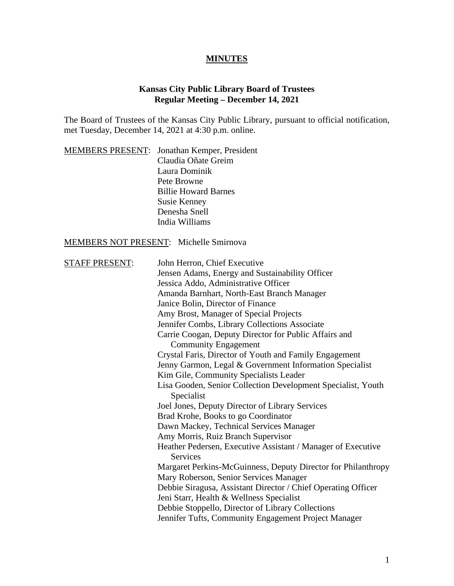## **MINUTES**

## **Kansas City Public Library Board of Trustees Regular Meeting – December 14, 2021**

The Board of Trustees of the Kansas City Public Library, pursuant to official notification, met Tuesday, December 14, 2021 at 4:30 p.m. online.

|  | <b>MEMBERS PRESENT:</b> Jonathan Kemper, President |
|--|----------------------------------------------------|
|  | Claudia Oñate Greim                                |
|  | Laura Dominik                                      |
|  | Pete Browne                                        |
|  | <b>Billie Howard Barnes</b>                        |
|  | <b>Susie Kenney</b>                                |
|  | Denesha Snell                                      |
|  | India Williams                                     |

## MEMBERS NOT PRESENT: Michelle Smirnova

| <b>STAFF PRESENT:</b> | John Herron, Chief Executive                                  |
|-----------------------|---------------------------------------------------------------|
|                       | Jensen Adams, Energy and Sustainability Officer               |
|                       | Jessica Addo, Administrative Officer                          |
|                       | Amanda Barnhart, North-East Branch Manager                    |
|                       | Janice Bolin, Director of Finance                             |
|                       | Amy Brost, Manager of Special Projects                        |
|                       | Jennifer Combs, Library Collections Associate                 |
|                       | Carrie Coogan, Deputy Director for Public Affairs and         |
|                       | <b>Community Engagement</b>                                   |
|                       | Crystal Faris, Director of Youth and Family Engagement        |
|                       | Jenny Garmon, Legal & Government Information Specialist       |
|                       | Kim Gile, Community Specialists Leader                        |
|                       | Lisa Gooden, Senior Collection Development Specialist, Youth  |
|                       | Specialist                                                    |
|                       | Joel Jones, Deputy Director of Library Services               |
|                       | Brad Krohe, Books to go Coordinator                           |
|                       | Dawn Mackey, Technical Services Manager                       |
|                       | Amy Morris, Ruiz Branch Supervisor                            |
|                       | Heather Pedersen, Executive Assistant / Manager of Executive  |
|                       | <b>Services</b>                                               |
|                       | Margaret Perkins-McGuinness, Deputy Director for Philanthropy |
|                       | Mary Roberson, Senior Services Manager                        |
|                       | Debbie Siragusa, Assistant Director / Chief Operating Officer |
|                       | Jeni Starr, Health & Wellness Specialist                      |
|                       | Debbie Stoppello, Director of Library Collections             |
|                       | Jennifer Tufts, Community Engagement Project Manager          |
|                       |                                                               |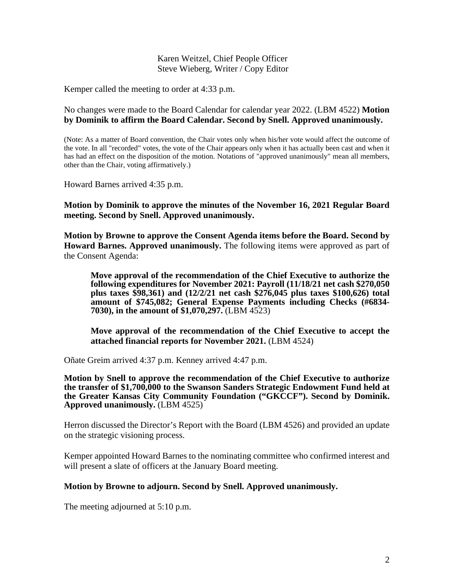Karen Weitzel, Chief People Officer Steve Wieberg, Writer / Copy Editor

Kemper called the meeting to order at 4:33 p.m.

No changes were made to the Board Calendar for calendar year 2022. (LBM 4522) **Motion by Dominik to affirm the Board Calendar. Second by Snell. Approved unanimously.**

(Note: As a matter of Board convention, the Chair votes only when his/her vote would affect the outcome of the vote. In all "recorded" votes, the vote of the Chair appears only when it has actually been cast and when it has had an effect on the disposition of the motion. Notations of "approved unanimously" mean all members, other than the Chair, voting affirmatively.)

Howard Barnes arrived 4:35 p.m.

**Motion by Dominik to approve the minutes of the November 16, 2021 Regular Board meeting. Second by Snell. Approved unanimously.** 

**Motion by Browne to approve the Consent Agenda items before the Board. Second by Howard Barnes. Approved unanimously.** The following items were approved as part of the Consent Agenda:

**Move approval of the recommendation of the Chief Executive to authorize the following expenditures for November 2021: Payroll (11/18/21 net cash \$270,050 plus taxes \$98,361) and (12/2/21 net cash \$276,045 plus taxes \$100,626) total amount of \$745,082; General Expense Payments including Checks (#6834- 7030), in the amount of \$1,070,297.** (LBM 4523)

**Move approval of the recommendation of the Chief Executive to accept the attached financial reports for November 2021.** (LBM 4524)

Oñate Greim arrived 4:37 p.m. Kenney arrived 4:47 p.m.

**Motion by Snell to approve the recommendation of the Chief Executive to authorize the transfer of \$1,700,000 to the Swanson Sanders Strategic Endowment Fund held at the Greater Kansas City Community Foundation ("GKCCF"). Second by Dominik. Approved unanimously.** (LBM 4525)

Herron discussed the Director's Report with the Board (LBM 4526) and provided an update on the strategic visioning process.

Kemper appointed Howard Barnes to the nominating committee who confirmed interest and will present a slate of officers at the January Board meeting.

## **Motion by Browne to adjourn. Second by Snell. Approved unanimously.**

The meeting adjourned at 5:10 p.m.